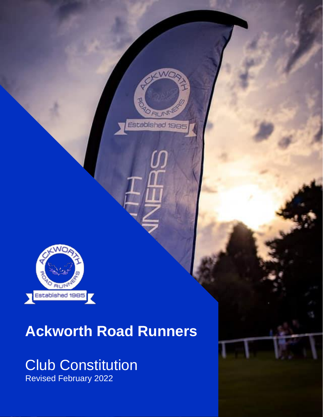

## **Ackworth Road Runners**

# Club Constitution

Revised February 2022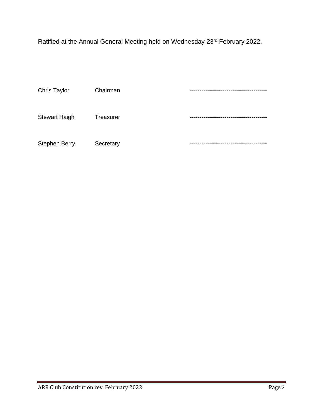Ratified at the Annual General Meeting held on Wednesday 23rd February 2022.

| Chris Taylor         | Chairman  |  |
|----------------------|-----------|--|
| <b>Stewart Haigh</b> | Treasurer |  |
| <b>Stephen Berry</b> | Secretary |  |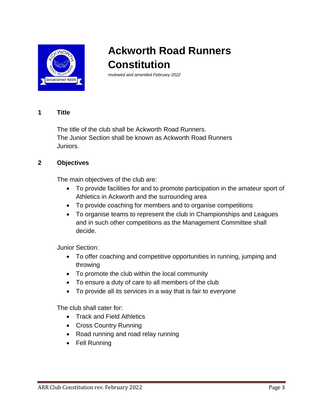

### **Ackworth Road Runners Constitution**

*reviewed and amended February 2022*

#### **1 Title**

The title of the club shall be Ackworth Road Runners. The Junior Section shall be known as Ackworth Road Runners Juniors.

#### **2 Objectives**

The main objectives of the club are:

- To provide facilities for and to promote participation in the amateur sport of Athletics in Ackworth and the surrounding area
- To provide coaching for members and to organise competitions
- To organise teams to represent the club in Championships and Leagues and in such other competitions as the Management Committee shall decide.

Junior Section:

- To offer coaching and competitive opportunities in running, jumping and throwing
- To promote the club within the local community
- To ensure a duty of care to all members of the club
- To provide all its services in a way that is fair to everyone

The club shall cater for:

- Track and Field Athletics
- Cross Country Running
- Road running and road relay running
- Fell Running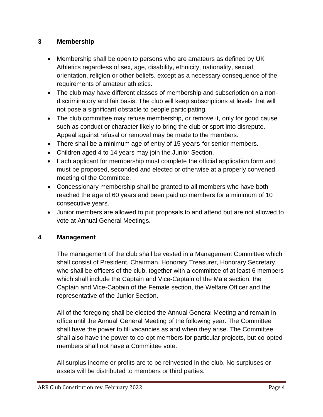#### **3 Membership**

- Membership shall be open to persons who are amateurs as defined by UK Athletics regardless of sex, age, disability, ethnicity, nationality, sexual orientation, religion or other beliefs, except as a necessary consequence of the requirements of amateur athletics.
- The club may have different classes of membership and subscription on a nondiscriminatory and fair basis. The club will keep subscriptions at levels that will not pose a significant obstacle to people participating.
- The club committee may refuse membership, or remove it, only for good cause such as conduct or character likely to bring the club or sport into disrepute. Appeal against refusal or removal may be made to the members.
- There shall be a minimum age of entry of 15 years for senior members.
- Children aged 4 to 14 years may join the Junior Section.
- Each applicant for membership must complete the official application form and must be proposed, seconded and elected or otherwise at a properly convened meeting of the Committee.
- Concessionary membership shall be granted to all members who have both reached the age of 60 years and been paid up members for a minimum of 10 consecutive years.
- Junior members are allowed to put proposals to and attend but are not allowed to vote at Annual General Meetings.

#### **4 Management**

The management of the club shall be vested in a Management Committee which shall consist of President, Chairman, Honorary Treasurer, Honorary Secretary, who shall be officers of the club, together with a committee of at least 6 members which shall include the Captain and Vice-Captain of the Male section, the Captain and Vice-Captain of the Female section, the Welfare Officer and the representative of the Junior Section.

All of the foregoing shall be elected the Annual General Meeting and remain in office until the Annual General Meeting of the following year. The Committee shall have the power to fill vacancies as and when they arise. The Committee shall also have the power to co-opt members for particular projects, but co-opted members shall not have a Committee vote.

All surplus income or profits are to be reinvested in the club. No surpluses or assets will be distributed to members or third parties.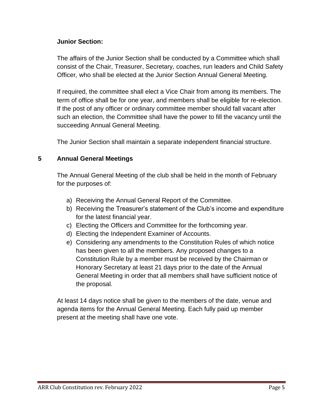#### **Junior Section:**

The affairs of the Junior Section shall be conducted by a Committee which shall consist of the Chair, Treasurer, Secretary*,* coaches, run leaders and Child Safety Officer*,* who shall be elected at the Junior Section Annual General Meeting.

If required, the committee shall elect a Vice Chair from among its members. The term of office shall be for one year, and members shall be eligible for re-election. If the post of any officer or ordinary committee member should fall vacant after such an election, the Committee shall have the power to fill the vacancy until the succeeding Annual General Meeting.

The Junior Section shall maintain a separate independent financial structure.

#### **5 Annual General Meetings**

The Annual General Meeting of the club shall be held in the month of February for the purposes of:

- a) Receiving the Annual General Report of the Committee.
- b) Receiving the Treasurer's statement of the Club's income and expenditure for the latest financial year.
- c) Electing the Officers and Committee for the forthcoming year.
- d) Electing the Independent Examiner of Accounts.
- e) Considering any amendments to the Constitution Rules of which notice has been given to all the members. Any proposed changes to a Constitution Rule by a member must be received by the Chairman or Honorary Secretary at least 21 days prior to the date of the Annual General Meeting in order that all members shall have sufficient notice of the proposal.

At least 14 days notice shall be given to the members of the date, venue and agenda items for the Annual General Meeting. Each fully paid up member present at the meeting shall have one vote.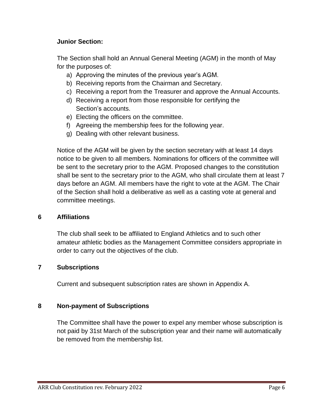#### **Junior Section:**

The Section shall hold an Annual General Meeting (AGM) in the month of May for the purposes of:

- a) Approving the minutes of the previous year's AGM.
- b) Receiving reports from the Chairman and Secretary.
- c) Receiving a report from the Treasurer and approve the Annual Accounts.
- d) Receiving a report from those responsible for certifying the Section's accounts.
- e) Electing the officers on the committee.
- f) Agreeing the membership fees for the following year.
- g) Dealing with other relevant business.

Notice of the AGM will be given by the section secretary with at least 14 days notice to be given to all members. Nominations for officers of the committee will be sent to the secretary prior to the AGM. Proposed changes to the constitution shall be sent to the secretary prior to the AGM, who shall circulate them at least 7 days before an AGM. All members have the right to vote at the AGM. The Chair of the Section shall hold a deliberative as well as a casting vote at general and committee meetings.

#### **6 Affiliations**

The club shall seek to be affiliated to England Athletics and to such other amateur athletic bodies as the Management Committee considers appropriate in order to carry out the objectives of the club.

#### **7 Subscriptions**

Current and subsequent subscription rates are shown in Appendix A.

#### **8 Non-payment of Subscriptions**

The Committee shall have the power to expel any member whose subscription is not paid by 31st March of the subscription year and their name will automatically be removed from the membership list.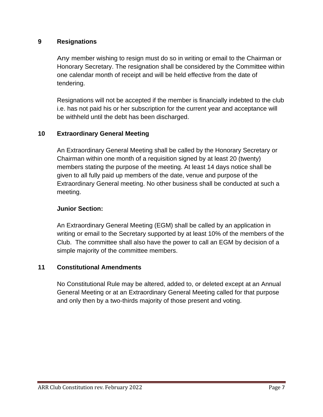#### **9 Resignations**

Any member wishing to resign must do so in writing or email to the Chairman or Honorary Secretary. The resignation shall be considered by the Committee within one calendar month of receipt and will be held effective from the date of tendering.

Resignations will not be accepted if the member is financially indebted to the club i.e. has not paid his or her subscription for the current year and acceptance will be withheld until the debt has been discharged.

#### **10 Extraordinary General Meeting**

An Extraordinary General Meeting shall be called by the Honorary Secretary or Chairman within one month of a requisition signed by at least 20 (twenty) members stating the purpose of the meeting. At least 14 days notice shall be given to all fully paid up members of the date, venue and purpose of the Extraordinary General meeting. No other business shall be conducted at such a meeting.

#### **Junior Section:**

An Extraordinary General Meeting (EGM) shall be called by an application in writing or email to the Secretary supported by at least 10% of the members of the Club. The committee shall also have the power to call an EGM by decision of a simple majority of the committee members.

#### **11 Constitutional Amendments**

No Constitutional Rule may be altered, added to, or deleted except at an Annual General Meeting or at an Extraordinary General Meeting called for that purpose and only then by a two-thirds majority of those present and voting.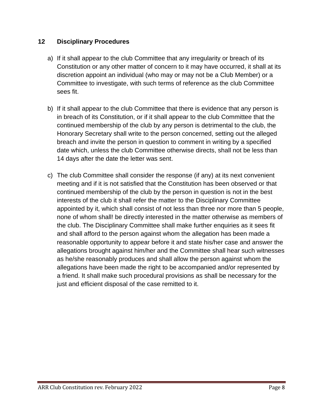#### **12 Disciplinary Procedures**

- a) If it shall appear to the club Committee that any irregularity or breach of its Constitution or any other matter of concern to it may have occurred, it shall at its discretion appoint an individual (who may or may not be a Club Member) or a Committee to investigate, with such terms of reference as the club Committee sees fit.
- b) If it shall appear to the club Committee that there is evidence that any person is in breach of its Constitution, or if it shall appear to the club Committee that the continued membership of the club by any person is detrimental to the club, the Honorary Secretary shall write to the person concerned, setting out the alleged breach and invite the person in question to comment in writing by a specified date which, unless the club Committee otherwise directs, shall not be less than 14 days after the date the letter was sent.
- c) The club Committee shall consider the response (if any) at its next convenient meeting and if it is not satisfied that the Constitution has been observed or that continued membership of the club by the person in question is not in the best interests of the club it shall refer the matter to the Disciplinary Committee appointed by it, which shall consist of not less than three nor more than 5 people, none of whom shall! be directly interested in the matter otherwise as members of the club. The Disciplinary Committee shall make further enquiries as it sees fit and shall afford to the person against whom the allegation has been made a reasonable opportunity to appear before it and state his/her case and answer the allegations brought against him/her and the Committee shall hear such witnesses as he/she reasonably produces and shall allow the person against whom the allegations have been made the right to be accompanied and/or represented by a friend. It shall make such procedural provisions as shall be necessary for the just and efficient disposal of the case remitted to it.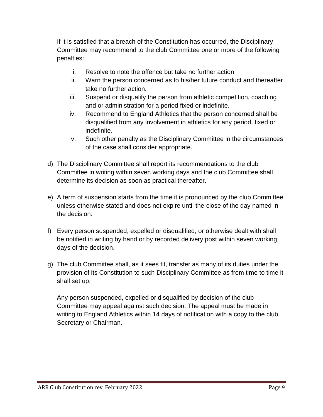If it is satisfied that a breach of the Constitution has occurred, the Disciplinary Committee may recommend to the club Committee one or more of the following penalties:

- i. Resolve to note the offence but take no further action
- ii. Warn the person concerned as to his/her future conduct and thereafter take no further action.
- iii. Suspend or disqualify the person from athletic competition, coaching and or administration for a period fixed or indefinite.
- iv. Recommend to England Athletics that the person concerned shall be disqualified from any involvement in athletics for any period, fixed or indefinite.
- v. Such other penalty as the Disciplinary Committee in the circumstances of the case shall consider appropriate.
- d) The Disciplinary Committee shall report its recommendations to the club Committee in writing within seven working days and the club Committee shall determine its decision as soon as practical thereafter.
- e) A term of suspension starts from the time it is pronounced by the club Committee unless otherwise stated and does not expire until the close of the day named in the decision.
- f) Every person suspended, expelled or disqualified, or otherwise dealt with shall be notified in writing by hand or by recorded delivery post within seven working days of the decision.
- g) The club Committee shall, as it sees fit, transfer as many of its duties under the provision of its Constitution to such Disciplinary Committee as from time to time it shall set up.

Any person suspended, expelled or disqualified by decision of the club Committee may appeal against such decision. The appeal must be made in writing to England Athletics within 14 days of notification with a copy to the club Secretary or Chairman.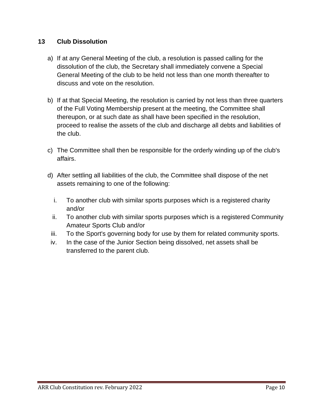#### **13 Club Dissolution**

- a) If at any General Meeting of the club, a resolution is passed calling for the dissolution of the club, the Secretary shall immediately convene a Special General Meeting of the club to be held not less than one month thereafter to discuss and vote on the resolution.
- b) If at that Special Meeting, the resolution is carried by not less than three quarters of the Full Voting Membership present at the meeting, the Committee shall thereupon, or at such date as shall have been specified in the resolution, proceed to realise the assets of the club and discharge all debts and liabilities of the club.
- c) The Committee shall then be responsible for the orderly winding up of the club's affairs.
- d) After settling all liabilities of the club, the Committee shall dispose of the net assets remaining to one of the following:
	- i. To another club with similar sports purposes which is a registered charity and/or
	- ii. To another club with similar sports purposes which is a registered Community Amateur Sports Club and/or
- iii. To the Sport's governing body for use by them for related community sports.
- iv. In the case of the Junior Section being dissolved, net assets shall be transferred to the parent club.